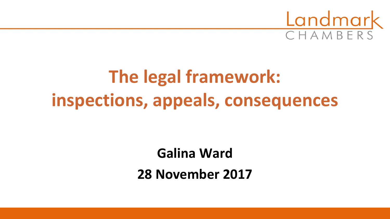

# **The legal framework: inspections, appeals, consequences**

**Galina Ward 28 November 2017**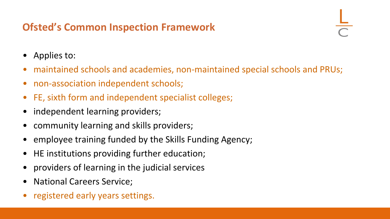# **Ofsted's Common Inspection Framework**

- Applies to:
- maintained schools and academies, non-maintained special schools and PRUs;
- non-association independent schools;
- FE, sixth form and independent specialist colleges;
- independent learning providers;
- community learning and skills providers;
- employee training funded by the Skills Funding Agency;
- HE institutions providing further education;
- providers of learning in the judicial services
- National Careers Service;
- registered early years settings.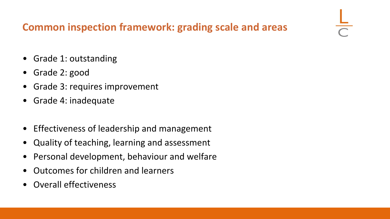# **Common inspection framework: grading scale and areas**

- Grade 1: outstanding
- Grade 2: good
- Grade 3: requires improvement
- Grade 4: inadequate
- Effectiveness of leadership and management
- Quality of teaching, learning and assessment
- Personal development, behaviour and welfare
- Outcomes for children and learners
- Overall effectiveness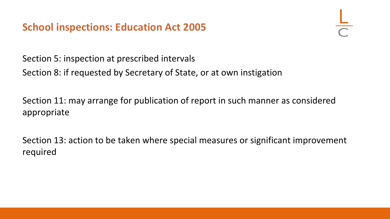## **School inspections: Education Act 2005**

Section 5: inspection at prescribed intervals Section 8: if requested by Secretary of State, or at own instigation

Section 11: may arrange for publication of report in such manner as considered appropriate

Section 13: action to be taken where special measures or significant improvement required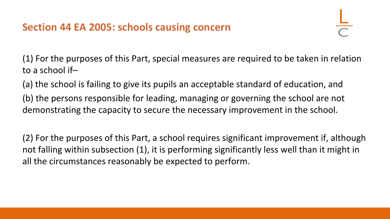(1) For the purposes of this Part, special measures are required to be taken in relation to a school if–

(a) the school is failing to give its pupils an acceptable standard of education, and (b) the persons responsible for leading, managing or governing the school are not demonstrating the capacity to secure the necessary improvement in the school.

(2) For the purposes of this Part, a school requires significant improvement if, although not falling within subsection (1), it is performing significantly less well than it might in all the circumstances reasonably be expected to perform.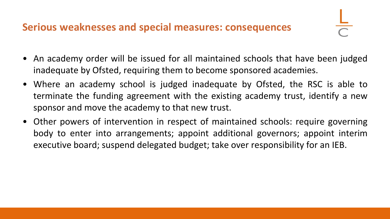#### **Serious weaknesses and special measures: consequences**

- An academy order will be issued for all maintained schools that have been judged inadequate by Ofsted, requiring them to become sponsored academies.
- Where an academy school is judged inadequate by Ofsted, the RSC is able to terminate the funding agreement with the existing academy trust, identify a new sponsor and move the academy to that new trust.
- Other powers of intervention in respect of maintained schools: require governing body to enter into arrangements; appoint additional governors; appoint interim executive board; suspend delegated budget; take over responsibility for an IEB.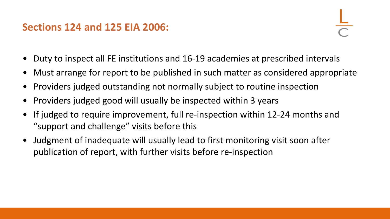#### **Sections 124 and 125 EIA 2006:**

- Duty to inspect all FE institutions and 16-19 academies at prescribed intervals
- Must arrange for report to be published in such matter as considered appropriate
- Providers judged outstanding not normally subject to routine inspection
- Providers judged good will usually be inspected within 3 years
- If judged to require improvement, full re-inspection within 12-24 months and "support and challenge" visits before this
- Judgment of inadequate will usually lead to first monitoring visit soon after publication of report, with further visits before re-inspection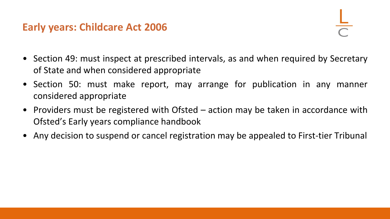#### **Early years: Childcare Act 2006**

- Section 49: must inspect at prescribed intervals, as and when required by Secretary of State and when considered appropriate
- Section 50: must make report, may arrange for publication in any manner considered appropriate
- Providers must be registered with Ofsted action may be taken in accordance with Ofsted's Early years compliance handbook
- Any decision to suspend or cancel registration may be appealed to First-tier Tribunal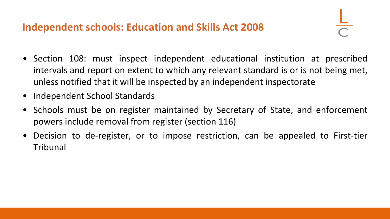## **Independent schools: Education and Skills Act 2008**

- Section 108: must inspect independent educational institution at prescribed intervals and report on extent to which any relevant standard is or is not being met, unless notified that it will be inspected by an independent inspectorate
- Independent School Standards
- Schools must be on register maintained by Secretary of State, and enforcement powers include removal from register (section 116)
- Decision to de-register, or to impose restriction, can be appealed to First-tier Tribunal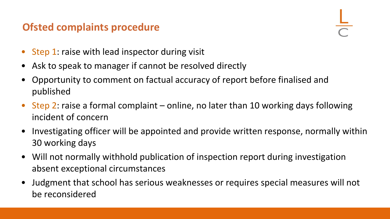# **Ofsted complaints procedure**

- Step 1: raise with lead inspector during visit
- Ask to speak to manager if cannot be resolved directly
- Opportunity to comment on factual accuracy of report before finalised and published
- Step 2: raise a formal complaint online, no later than 10 working days following incident of concern
- Investigating officer will be appointed and provide written response, normally within 30 working days
- Will not normally withhold publication of inspection report during investigation absent exceptional circumstances
- Judgment that school has serious weaknesses or requires special measures will not be reconsidered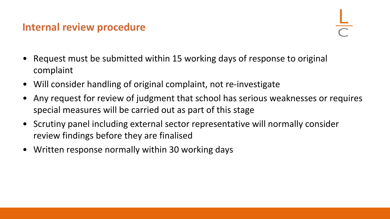#### **Internal review procedure**

- Request must be submitted within 15 working days of response to original complaint
- Will consider handling of original complaint, not re-investigate
- Any request for review of judgment that school has serious weaknesses or requires special measures will be carried out as part of this stage
- Scrutiny panel including external sector representative will normally consider review findings before they are finalised
- Written response normally within 30 working days